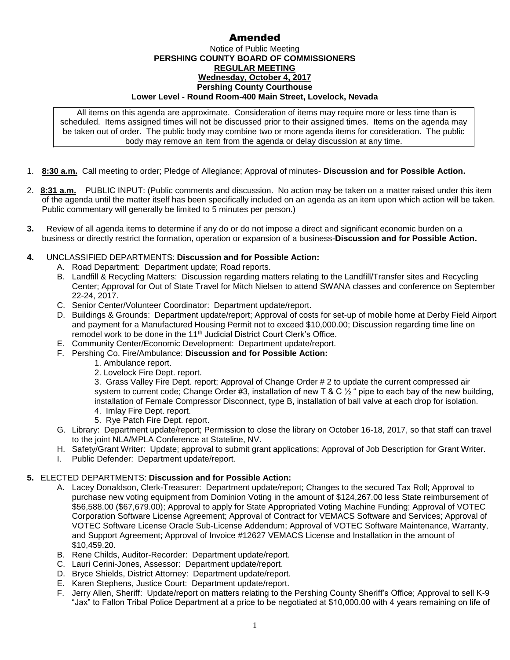# Amended

### Notice of Public Meeting **PERSHING COUNTY BOARD OF COMMISSIONERS REGULAR MEETING Wednesday, October 4, 2017 Pershing County Courthouse Lower Level - Round Room-400 Main Street, Lovelock, Nevada**

All items on this agenda are approximate. Consideration of items may require more or less time than is scheduled. Items assigned times will not be discussed prior to their assigned times. Items on the agenda may be taken out of order. The public body may combine two or more agenda items for consideration. The public body may remove an item from the agenda or delay discussion at any time.

- 1. **8:30 a.m.** Call meeting to order; Pledge of Allegiance; Approval of minutes- **Discussion and for Possible Action.**
- 2. **8:31 a.m.** PUBLIC INPUT: (Public comments and discussion. No action may be taken on a matter raised under this item of the agenda until the matter itself has been specifically included on an agenda as an item upon which action will be taken. Public commentary will generally be limited to 5 minutes per person.)
- **3.** Review of all agenda items to determine if any do or do not impose a direct and significant economic burden on a business or directly restrict the formation, operation or expansion of a business-**Discussion and for Possible Action.**

## **4.** UNCLASSIFIED DEPARTMENTS: **Discussion and for Possible Action:**

- A. Road Department: Department update; Road reports.
- B. Landfill & Recycling Matters: Discussion regarding matters relating to the Landfill/Transfer sites and Recycling Center; Approval for Out of State Travel for Mitch Nielsen to attend SWANA classes and conference on September 22-24, 2017.
- C. Senior Center/Volunteer Coordinator: Department update/report.
- D. Buildings & Grounds: Department update/report; Approval of costs for set-up of mobile home at Derby Field Airport and payment for a Manufactured Housing Permit not to exceed \$10,000.00; Discussion regarding time line on remodel work to be done in the 11<sup>th</sup> Judicial District Court Clerk's Office.
- E. Community Center/Economic Development: Department update/report.
- F. Pershing Co. Fire/Ambulance: **Discussion and for Possible Action:**
	- 1. Ambulance report.
	- 2. Lovelock Fire Dept. report.

3. Grass Valley Fire Dept. report; Approval of Change Order # 2 to update the current compressed air system to current code; Change Order #3, installation of new T & C  $\frac{1}{2}$  " pipe to each bay of the new building, installation of Female Compressor Disconnect, type B, installation of ball valve at each drop for isolation. 4. Imlay Fire Dept. report.

- 5. Rye Patch Fire Dept. report.
- G. Library: Department update/report; Permission to close the library on October 16-18, 2017, so that staff can travel to the joint NLA/MPLA Conference at Stateline, NV.
- H. Safety/Grant Writer: Update; approval to submit grant applications; Approval of Job Description for Grant Writer.
- I. Public Defender: Department update/report.

### **5.** ELECTED DEPARTMENTS: **Discussion and for Possible Action:**

- A. Lacey Donaldson, Clerk-Treasurer: Department update/report; Changes to the secured Tax Roll; Approval to purchase new voting equipment from Dominion Voting in the amount of \$124,267.00 less State reimbursement of \$56,588.00 (\$67,679.00); Approval to apply for State Appropriated Voting Machine Funding; Approval of VOTEC Corporation Software License Agreement; Approval of Contract for VEMACS Software and Services; Approval of VOTEC Software License Oracle Sub-License Addendum; Approval of VOTEC Software Maintenance, Warranty, and Support Agreement; Approval of Invoice #12627 VEMACS License and Installation in the amount of \$10,459.20.
- B. Rene Childs, Auditor-Recorder: Department update/report.
- C. Lauri Cerini-Jones, Assessor: Department update/report.
- D. Bryce Shields, District Attorney: Department update/report.
- E. Karen Stephens, Justice Court: Department update/report.
- F. Jerry Allen, Sheriff: Update/report on matters relating to the Pershing County Sheriff's Office; Approval to sell K-9 "Jax" to Fallon Tribal Police Department at a price to be negotiated at \$10,000.00 with 4 years remaining on life of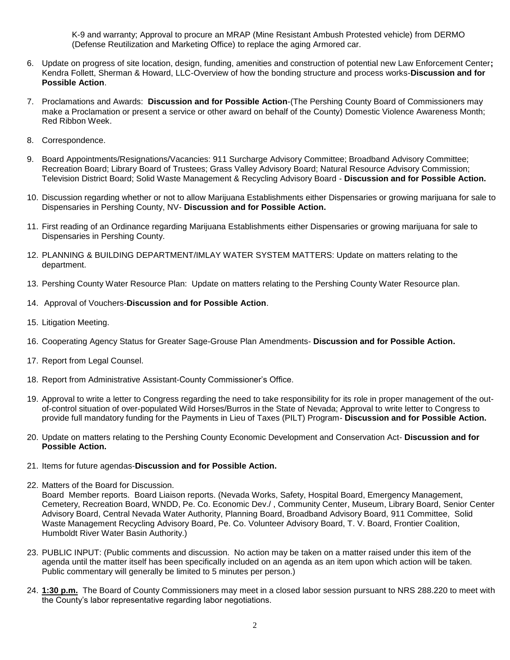K-9 and warranty; Approval to procure an MRAP (Mine Resistant Ambush Protested vehicle) from DERMO (Defense Reutilization and Marketing Office) to replace the aging Armored car.

- 6. Update on progress of site location, design, funding, amenities and construction of potential new Law Enforcement Center**;**  Kendra Follett, Sherman & Howard, LLC-Overview of how the bonding structure and process works-**Discussion and for Possible Action**.
- 7. Proclamations and Awards: **Discussion and for Possible Action**-(The Pershing County Board of Commissioners may make a Proclamation or present a service or other award on behalf of the County) Domestic Violence Awareness Month; Red Ribbon Week.
- 8. Correspondence.
- 9. Board Appointments/Resignations/Vacancies: 911 Surcharge Advisory Committee; Broadband Advisory Committee; Recreation Board; Library Board of Trustees; Grass Valley Advisory Board; Natural Resource Advisory Commission; Television District Board; Solid Waste Management & Recycling Advisory Board - **Discussion and for Possible Action.**
- 10. Discussion regarding whether or not to allow Marijuana Establishments either Dispensaries or growing marijuana for sale to Dispensaries in Pershing County, NV- **Discussion and for Possible Action.**
- 11. First reading of an Ordinance regarding Marijuana Establishments either Dispensaries or growing marijuana for sale to Dispensaries in Pershing County.
- 12. PLANNING & BUILDING DEPARTMENT/IMLAY WATER SYSTEM MATTERS: Update on matters relating to the department.
- 13. Pershing County Water Resource Plan: Update on matters relating to the Pershing County Water Resource plan.
- 14. Approval of Vouchers-**Discussion and for Possible Action**.
- 15. Litigation Meeting.
- 16. Cooperating Agency Status for Greater Sage-Grouse Plan Amendments- **Discussion and for Possible Action.**
- 17. Report from Legal Counsel.
- 18. Report from Administrative Assistant-County Commissioner's Office.
- 19. Approval to write a letter to Congress regarding the need to take responsibility for its role in proper management of the outof-control situation of over-populated Wild Horses/Burros in the State of Nevada; Approval to write letter to Congress to provide full mandatory funding for the Payments in Lieu of Taxes (PILT) Program- **Discussion and for Possible Action.**
- 20. Update on matters relating to the Pershing County Economic Development and Conservation Act- **Discussion and for Possible Action.**
- 21. Items for future agendas-**Discussion and for Possible Action.**
- 22. Matters of the Board for Discussion.

Board Member reports. Board Liaison reports. (Nevada Works, Safety, Hospital Board, Emergency Management, Cemetery, Recreation Board, WNDD, Pe. Co. Economic Dev./ , Community Center, Museum, Library Board, Senior Center Advisory Board, Central Nevada Water Authority, Planning Board, Broadband Advisory Board, 911 Committee, Solid Waste Management Recycling Advisory Board, Pe. Co. Volunteer Advisory Board, T. V. Board, Frontier Coalition, Humboldt River Water Basin Authority.)

- 23. PUBLIC INPUT: (Public comments and discussion. No action may be taken on a matter raised under this item of the agenda until the matter itself has been specifically included on an agenda as an item upon which action will be taken. Public commentary will generally be limited to 5 minutes per person.)
- 24. **1:30 p.m.** The Board of County Commissioners may meet in a closed labor session pursuant to NRS 288.220 to meet with the County's labor representative regarding labor negotiations.